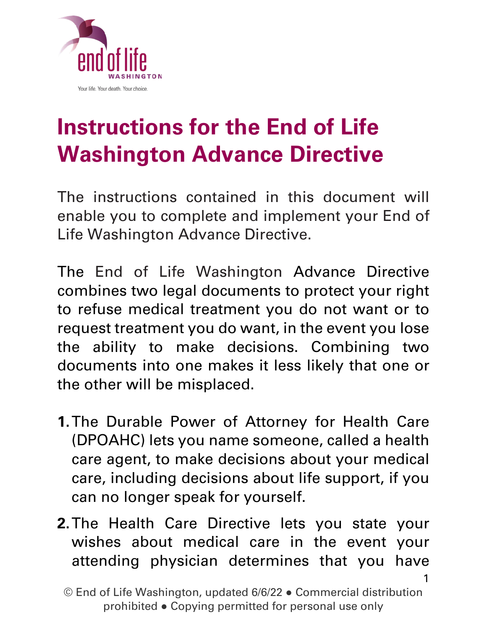

# **Instructions for the End of Life Washington Advance Directive**

The instructions contained in this document will enable you to complete and implement your End of Life Washington Advance Directive.

The End of Life Washington Advance Directive combines two legal documents to protect your right to refuse medical treatment you do not want or to request treatment you do want, in the event you lose the ability to make decisions. Combining two documents into one makes it less likely that one or the other will be misplaced.

- **1.**The Durable Power of Attorney for Health Care (DPOAHC) lets you name someone, called a health care agent, to make decisions about your medical care, including decisions about life support, if you can no longer speak for yourself.
- **2.**The Health Care Directive lets you state your wishes about medical care in the event your attending physician determines that you have

<sup>©</sup> End of Life Washington, updated 6/6/22 ● Commercial distribution prohibited ● Copying permitted for personal use only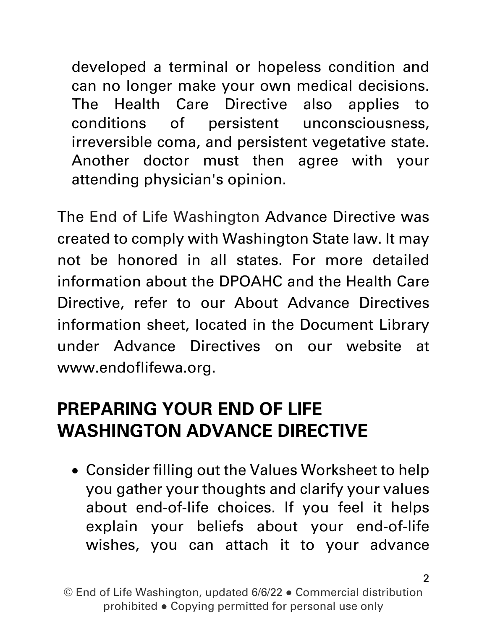developed a terminal or hopeless condition and can no longer make your own medical decisions. The Health Care Directive also applies to conditions of persistent unconsciousness, irreversible coma, and persistent vegetative state. Another doctor must then agree with your attending physician's opinion.

The End of Life Washington Advance Directive was created to comply with Washington State law. It may not be honored in all states. For more detailed information about the DPOAHC and the Health Care Directive, refer to our About Advance Directives information sheet, located in the Document Library under Advance Directives on our website at [www.endoflifewa.org.](http://www.endoflifewa.org/)

#### **PREPARING YOUR END OF LIFE WASHINGTON ADVANCE DIRECTIVE**

• Consider filling out the Values Worksheet to help you gather your thoughts and clarify your values about end-of-life choices. If you feel it helps explain your beliefs about your end-of-life wishes, you can attach it to your advance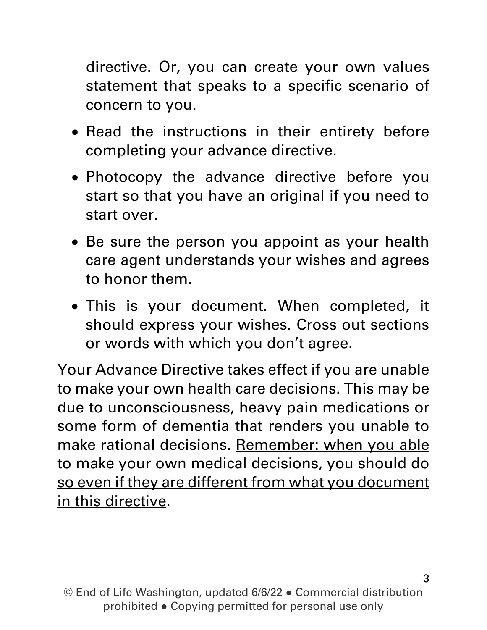directive. Or, you can create your own values statement that speaks to a specific scenario of concern to you.

- Read the instructions in their entirety before completing your advance directive.
- Photocopy the advance directive before you start so that you have an original if you need to start over.
- Be sure the person you appoint as your health care agent understands your wishes and agrees to honor them.
- This is your document. When completed, it should express your wishes. Cross out sections or words with which you don't agree.

Your Advance Directive takes effect if you are unable to make your own health care decisions. This may be due to unconsciousness, heavy pain medications or some form of dementia that renders you unable to make rational decisions. Remember: when you able to make your own medical decisions, you should do so even if they are different from what you document in this directive.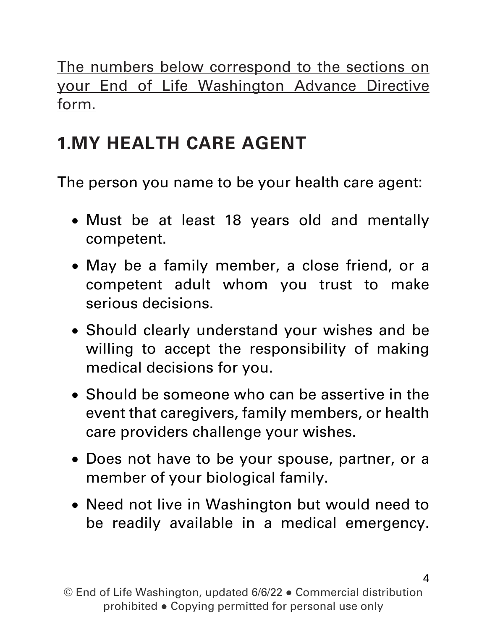The numbers below correspond to the sections on your End of Life Washington Advance Directive form.

## **1.MY HEALTH CARE AGENT**

The person you name to be your health care agent:

- Must be at least 18 years old and mentally competent.
- May be a family member, a close friend, or a competent adult whom you trust to make serious decisions.
- Should clearly understand your wishes and be willing to accept the responsibility of making medical decisions for you.
- Should be someone who can be assertive in the event that caregivers, family members, or health care providers challenge your wishes.
- Does not have to be your spouse, partner, or a member of your biological family.
- Need not live in Washington but would need to be readily available in a medical emergency.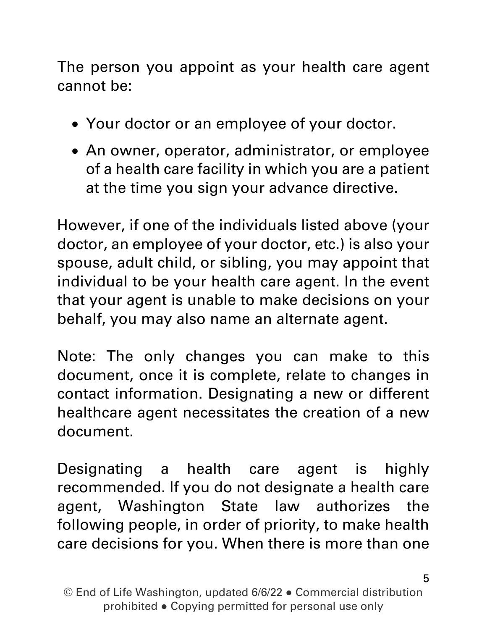The person you appoint as your health care agent cannot be:

- Your doctor or an employee of your doctor.
- An owner, operator, administrator, or employee of a health care facility in which you are a patient at the time you sign your advance directive.

However, if one of the individuals listed above (your doctor, an employee of your doctor, etc.) is also your spouse, adult child, or sibling, you may appoint that individual to be your health care agent. In the event that your agent is unable to make decisions on your behalf, you may also name an alternate agent.

Note: The only changes you can make to this document, once it is complete, relate to changes in contact information. Designating a new or different healthcare agent necessitates the creation of a new document.

Designating a health care agent is highly recommended. If you do not designate a health care agent, Washington State law authorizes the following people, in order of priority, to make health care decisions for you. When there is more than one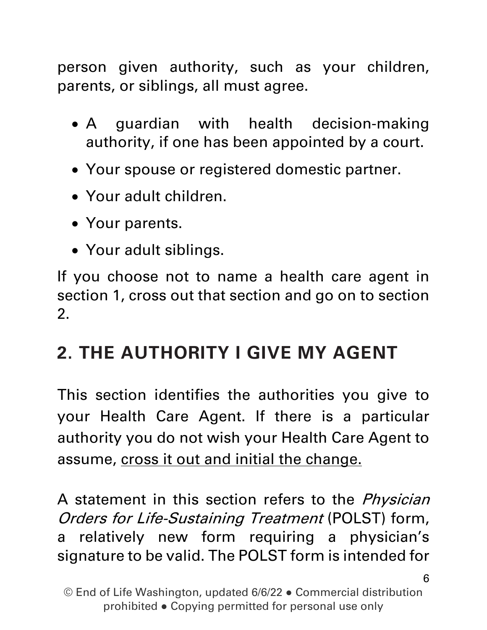person given authority, such as your children, parents, or siblings, all must agree.

- A guardian with health decision-making authority, if one has been appointed by a court.
- Your spouse or registered domestic partner.
- Your adult children.
- Your parents.
- Your adult siblings.

If you choose not to name a health care agent in section 1, cross out that section and go on to section 2.

## **2. THE AUTHORITY I GIVE MY AGENT**

This section identifies the authorities you give to your Health Care Agent. If there is a particular authority you do not wish your Health Care Agent to assume, cross it out and initial the change.

A statement in this section refers to the *Physician* Orders for Life-Sustaining Treatment (POLST) form, a relatively new form requiring a physician's signature to be valid. The POLST form is intended for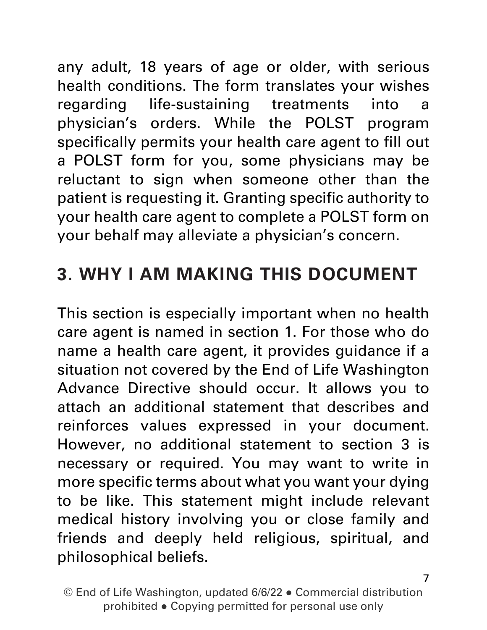any adult, 18 years of age or older, with serious health conditions. The form translates your wishes regarding life-sustaining treatments into a physician's orders. While the POLST program specifically permits your health care agent to fill out a POLST form for you, some physicians may be reluctant to sign when someone other than the patient is requesting it. Granting specific authority to your health care agent to complete a POLST form on your behalf may alleviate a physician's concern.

## **3. WHY I AM MAKING THIS DOCUMENT**

This section is especially important when no health care agent is named in section 1. For those who do name a health care agent, it provides guidance if a situation not covered by the End of Life Washington Advance Directive should occur. It allows you to attach an additional statement that describes and reinforces values expressed in your document. However, no additional statement to section 3 is necessary or required. You may want to write in more specific terms about what you want your dying to be like. This statement might include relevant medical history involving you or close family and friends and deeply held religious, spiritual, and philosophical beliefs.

© End of Life Washington, updated 6/6/22 ● Commercial distribution prohibited ● Copying permitted for personal use only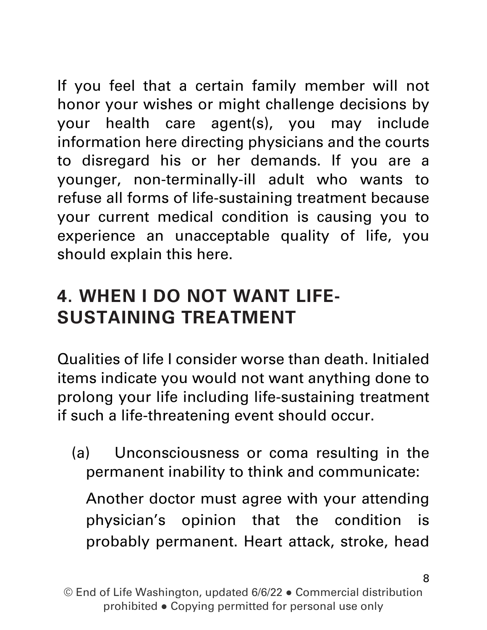If you feel that a certain family member will not honor your wishes or might challenge decisions by your health care agent(s), you may include information here directing physicians and the courts to disregard his or her demands. If you are a younger, non-terminally-ill adult who wants to refuse all forms of life-sustaining treatment because your current medical condition is causing you to experience an unacceptable quality of life, you should explain this here.

## **4. WHEN I DO NOT WANT LIFE-SUSTAINING TREATMENT**

Qualities of life I consider worse than death. Initialed items indicate you would not want anything done to prolong your life including life-sustaining treatment if such a life-threatening event should occur.

(a) Unconsciousness or coma resulting in the permanent inability to think and communicate:

Another doctor must agree with your attending physician's opinion that the condition is probably permanent. Heart attack, stroke, head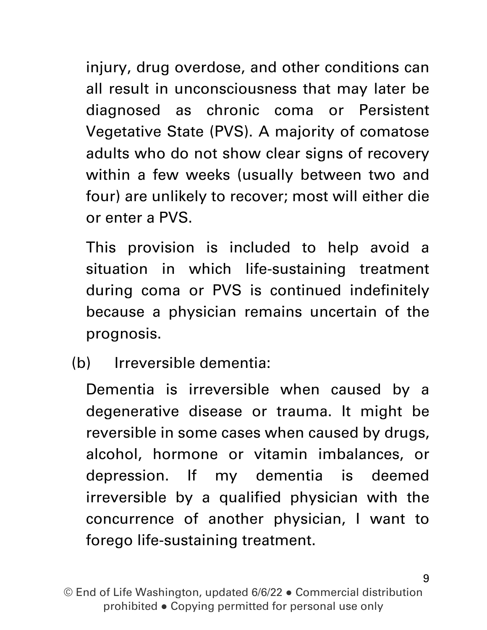injury, drug overdose, and other conditions can all result in unconsciousness that may later be diagnosed as chronic coma or Persistent Vegetative State (PVS). A majority of comatose adults who do not show clear signs of recovery within a few weeks (usually between two and four) are unlikely to recover; most will either die or enter a PVS.

This provision is included to help avoid a situation in which life-sustaining treatment during coma or PVS is continued indefinitely because a physician remains uncertain of the prognosis.

(b) Irreversible dementia:

Dementia is irreversible when caused by a degenerative disease or trauma. It might be reversible in some cases when caused by drugs, alcohol, hormone or vitamin imbalances, or depression. If my dementia is deemed irreversible by a qualified physician with the concurrence of another physician, I want to forego life-sustaining treatment.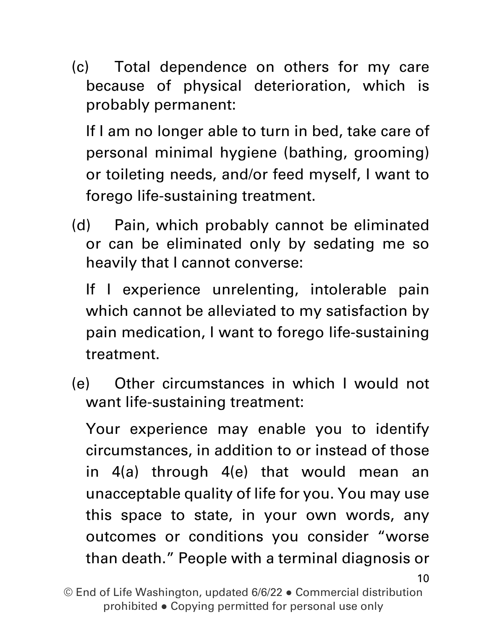(c) Total dependence on others for my care because of physical deterioration, which is probably permanent:

If I am no longer able to turn in bed, take care of personal minimal hygiene (bathing, grooming) or toileting needs, and/or feed myself, I want to forego life-sustaining treatment.

(d) Pain, which probably cannot be eliminated or can be eliminated only by sedating me so heavily that I cannot converse:

If I experience unrelenting, intolerable pain which cannot be alleviated to my satisfaction by pain medication, I want to forego life-sustaining treatment.

(e) Other circumstances in which I would not want life-sustaining treatment:

Your experience may enable you to identify circumstances, in addition to or instead of those in 4(a) through 4(e) that would mean an unacceptable quality of life for you. You may use this space to state, in your own words, any outcomes or conditions you consider "worse than death." People with a terminal diagnosis or

10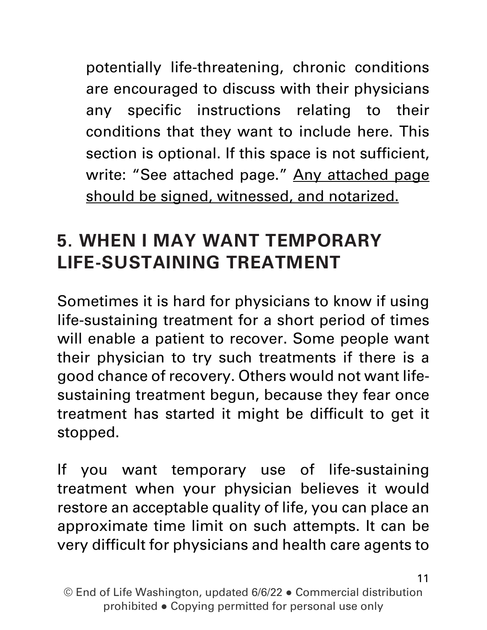potentially life-threatening, chronic conditions are encouraged to discuss with their physicians any specific instructions relating to their conditions that they want to include here. This section is optional. If this space is not sufficient, write: "See attached page." Any attached page should be signed, witnessed, and notarized.

#### **5. WHEN I MAY WANT TEMPORARY LIFE-SUSTAINING TREATMENT**

Sometimes it is hard for physicians to know if using life-sustaining treatment for a short period of times will enable a patient to recover. Some people want their physician to try such treatments if there is a good chance of recovery. Others would not want lifesustaining treatment begun, because they fear once treatment has started it might be difficult to get it stopped.

If you want temporary use of life-sustaining treatment when your physician believes it would restore an acceptable quality of life, you can place an approximate time limit on such attempts. It can be very difficult for physicians and health care agents to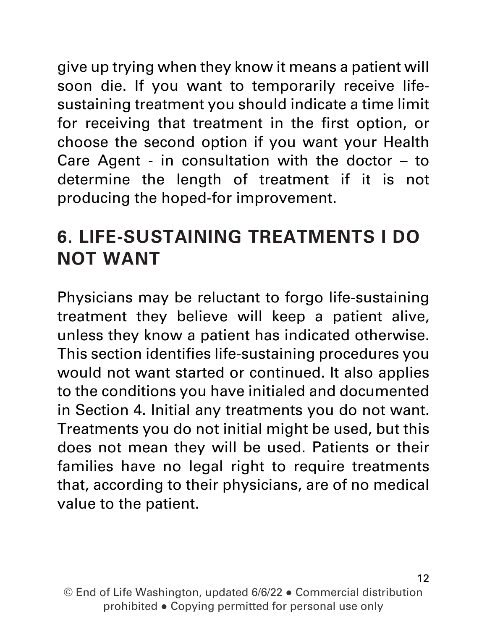give up trying when they know it means a patient will soon die. If you want to temporarily receive lifesustaining treatment you should indicate a time limit for receiving that treatment in the first option, or choose the second option if you want your Health Care Agent - in consultation with the doctor – to determine the length of treatment if it is not producing the hoped-for improvement.

### **6. LIFE-SUSTAINING TREATMENTS I DO NOT WANT**

Physicians may be reluctant to forgo life-sustaining treatment they believe will keep a patient alive, unless they know a patient has indicated otherwise. This section identifies life-sustaining procedures you would not want started or continued. It also applies to the conditions you have initialed and documented in Section 4. Initial any treatments you do not want. Treatments you do not initial might be used, but this does not mean they will be used. Patients or their families have no legal right to require treatments that, according to their physicians, are of no medical value to the patient.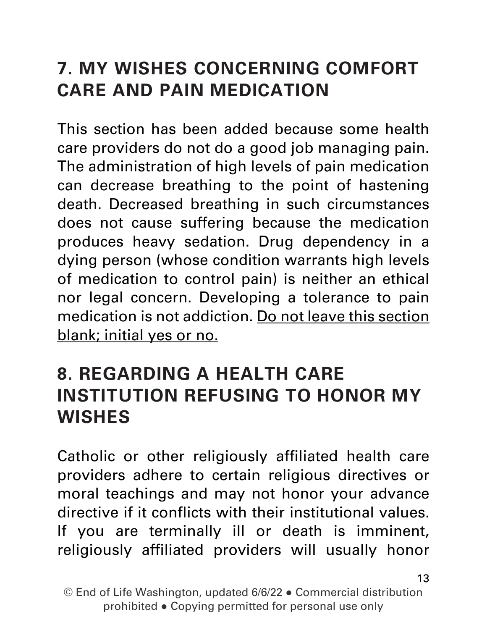### **7. MY WISHES CONCERNING COMFORT CARE AND PAIN MEDICATION**

This section has been added because some health care providers do not do a good job managing pain. The administration of high levels of pain medication can decrease breathing to the point of hastening death. Decreased breathing in such circumstances does not cause suffering because the medication produces heavy sedation. Drug dependency in a dying person (whose condition warrants high levels of medication to control pain) is neither an ethical nor legal concern. Developing a tolerance to pain medication is not addiction. Do not leave this section blank; initial yes or no.

#### **8. REGARDING A HEALTH CARE INSTITUTION REFUSING TO HONOR MY WISHES**

Catholic or other religiously affiliated health care providers adhere to certain religious directives or moral teachings and may not honor your advance directive if it conflicts with their institutional values. If you are terminally ill or death is imminent, religiously affiliated providers will usually honor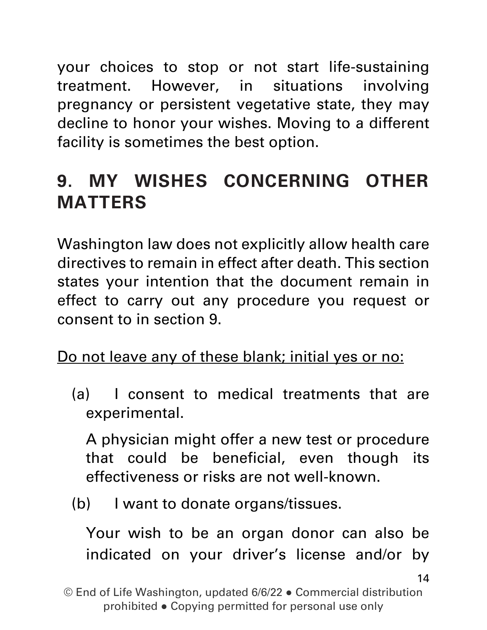your choices to stop or not start life-sustaining treatment. However, in situations involving pregnancy or persistent vegetative state, they may decline to honor your wishes. Moving to a different facility is sometimes the best option.

## **9. MY WISHES CONCERNING OTHER MATTERS**

Washington law does not explicitly allow health care directives to remain in effect after death. This section states your intention that the document remain in effect to carry out any procedure you request or consent to in section 9.

Do not leave any of these blank; initial yes or no:

(a) I consent to medical treatments that are experimental.

A physician might offer a new test or procedure that could be beneficial, even though its effectiveness or risks are not well-known.

(b) I want to donate organs/tissues.

Your wish to be an organ donor can also be indicated on your driver's license and/or by

<sup>©</sup> End of Life Washington, updated 6/6/22 ● Commercial distribution prohibited ● Copying permitted for personal use only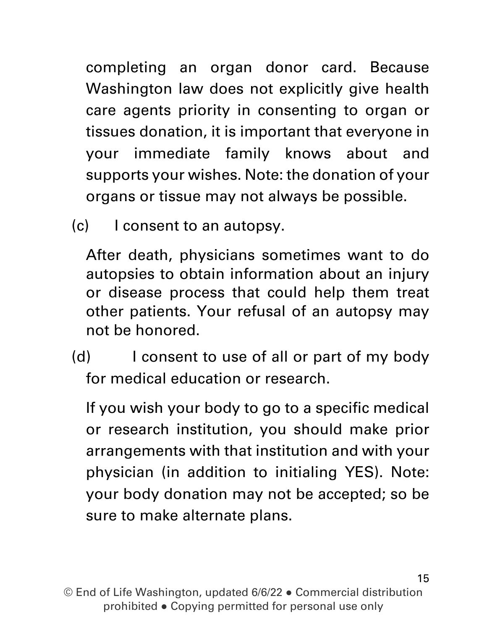completing an organ donor card. Because Washington law does not explicitly give health care agents priority in consenting to organ or tissues donation, it is important that everyone in your immediate family knows about and supports your wishes. Note: the donation of your organs or tissue may not always be possible.

(c) I consent to an autopsy.

After death, physicians sometimes want to do autopsies to obtain information about an injury or disease process that could help them treat other patients. Your refusal of an autopsy may not be honored.

(d) I consent to use of all or part of my body for medical education or research.

If you wish your body to go to a specific medical or research institution, you should make prior arrangements with that institution and with your physician (in addition to initialing YES). Note: your body donation may not be accepted; so be sure to make alternate plans.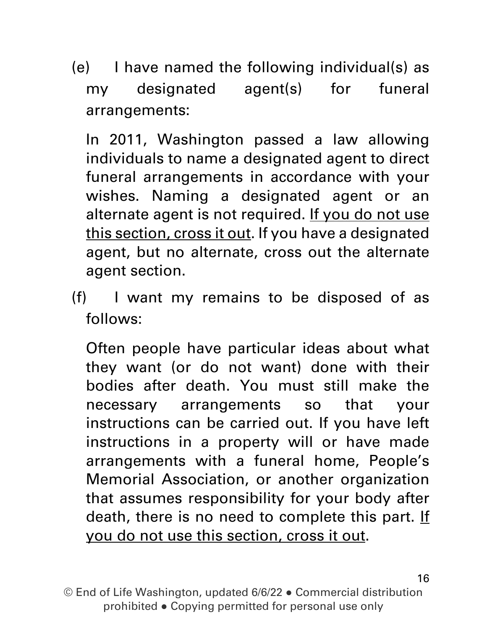(e) I have named the following individual(s) as my designated agent(s) for funeral arrangements:

In 2011, Washington passed a law allowing individuals to name a designated agent to direct funeral arrangements in accordance with your wishes. Naming a designated agent or an alternate agent is not required. If you do not use this section, cross it out. If you have a designated agent, but no alternate, cross out the alternate agent section.

(f) I want my remains to be disposed of as follows:

Often people have particular ideas about what they want (or do not want) done with their bodies after death. You must still make the necessary arrangements so that your instructions can be carried out. If you have left instructions in a property will or have made arrangements with a funeral home, People's Memorial Association, or another organization that assumes responsibility for your body after death, there is no need to complete this part. If you do not use this section, cross it out.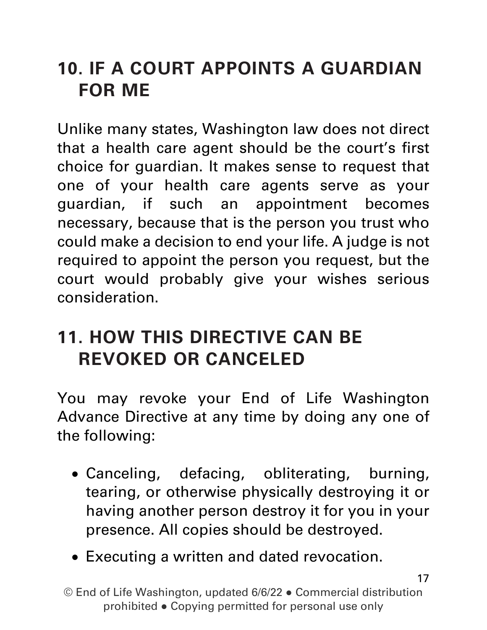### **10. IF A COURT APPOINTS A GUARDIAN FOR ME**

Unlike many states, Washington law does not direct that a health care agent should be the court's first choice for guardian. It makes sense to request that one of your health care agents serve as your guardian, if such an appointment becomes necessary, because that is the person you trust who could make a decision to end your life. A judge is not required to appoint the person you request, but the court would probably give your wishes serious consideration.

#### **11. HOW THIS DIRECTIVE CAN BE REVOKED OR CANCELED**

You may revoke your End of Life Washington Advance Directive at any time by doing any one of the following:

- Canceling, defacing, obliterating, burning, tearing, or otherwise physically destroying it or having another person destroy it for you in your presence. All copies should be destroyed.
- Executing a written and dated revocation.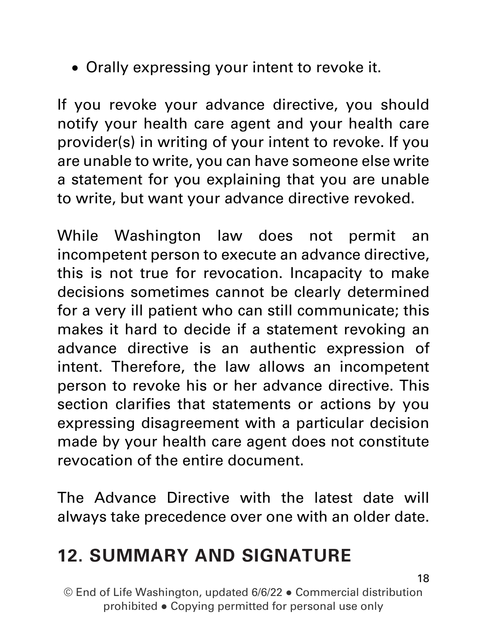• Orally expressing your intent to revoke it.

If you revoke your advance directive, you should notify your health care agent and your health care provider(s) in writing of your intent to revoke. If you are unable to write, you can have someone else write a statement for you explaining that you are unable to write, but want your advance directive revoked.

While Washington law does not permit an incompetent person to execute an advance directive, this is not true for revocation. Incapacity to make decisions sometimes cannot be clearly determined for a very ill patient who can still communicate; this makes it hard to decide if a statement revoking an advance directive is an authentic expression of intent. Therefore, the law allows an incompetent person to revoke his or her advance directive. This section clarifies that statements or actions by you expressing disagreement with a particular decision made by your health care agent does not constitute revocation of the entire document.

The Advance Directive with the latest date will always take precedence over one with an older date.

#### **12. SUMMARY AND SIGNATURE**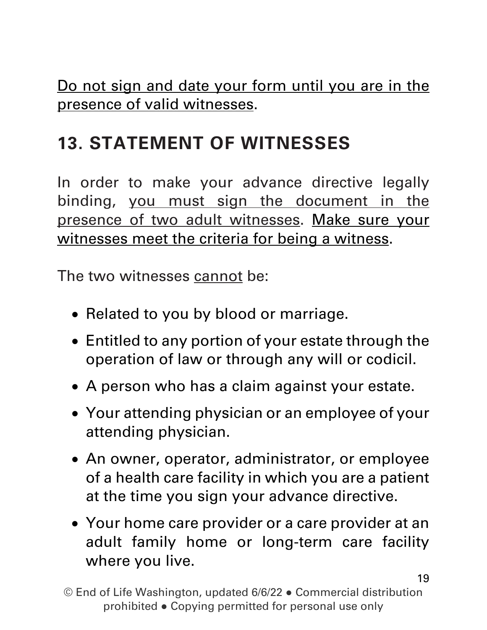Do not sign and date your form until you are in the presence of valid witnesses.

## **13. STATEMENT OF WITNESSES**

In order to make your advance directive legally binding, you must sign the document in the presence of two adult witnesses. Make sure your witnesses meet the criteria for being a witness.

The two witnesses cannot be:

- Related to you by blood or marriage.
- Entitled to any portion of your estate through the operation of law or through any will or codicil.
- A person who has a claim against your estate.
- Your attending physician or an employee of your attending physician.
- An owner, operator, administrator, or employee of a health care facility in which you are a patient at the time you sign your advance directive.
- Your home care provider or a care provider at an adult family home or long-term care facility where you live.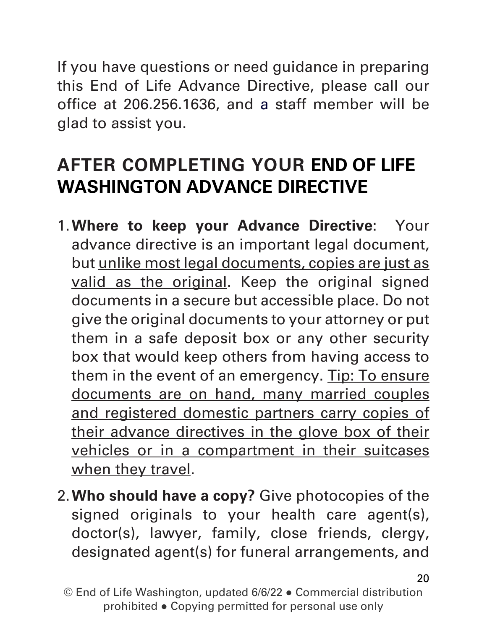If you have questions or need guidance in preparing this End of Life Advance Directive, please call our office at 206.256.1636, and a staff member will be glad to assist you.

### **AFTER COMPLETING YOUR END OF LIFE WASHINGTON ADVANCE DIRECTIVE**

- 1.**Where to keep your Advance Directive**: Your advance directive is an important legal document, but unlike most legal documents, copies are just as valid as the original. Keep the original signed documents in a secure but accessible place. Do not give the original documents to your attorney or put them in a safe deposit box or any other security box that would keep others from having access to them in the event of an emergency. Tip: To ensure documents are on hand, many married couples and registered domestic partners carry copies of their advance directives in the glove box of their vehicles or in a compartment in their suitcases when they travel.
- 2.**Who should have a copy?** Give photocopies of the signed originals to your health care agent(s), doctor(s), lawyer, family, close friends, clergy, designated agent(s) for funeral arrangements, and

<sup>©</sup> End of Life Washington, updated 6/6/22 ● Commercial distribution prohibited ● Copying permitted for personal use only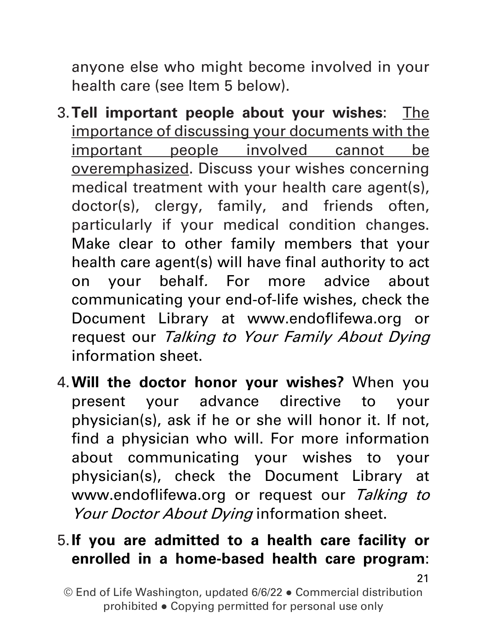anyone else who might become involved in your health care (see Item 5 below).

- 3.**Tell important people about your wishes**: The importance of discussing your documents with the important people involved cannot be overemphasized. Discuss your wishes concerning medical treatment with your health care agent(s), doctor(s), clergy, family, and friends often, particularly if your medical condition changes. Make clear to other family members that your health care agent(s) will have final authority to act on your behalf. For more advice about communicating your end-of-life wishes, check the Document Library at www.endoflifewa.org or request our Talking to Your Family About Dying information sheet.
- 4.**Will the doctor honor your wishes?** When you present your advance directive to your physician(s), ask if he or she will honor it. If not, find a physician who will. For more information about communicating your wishes to your physician(s), check the Document Library at www.endoflifewa.org or request our Talking to Your Doctor About Dying information sheet.

#### 5.**If you are admitted to a health care facility or enrolled in a home-based health care program**: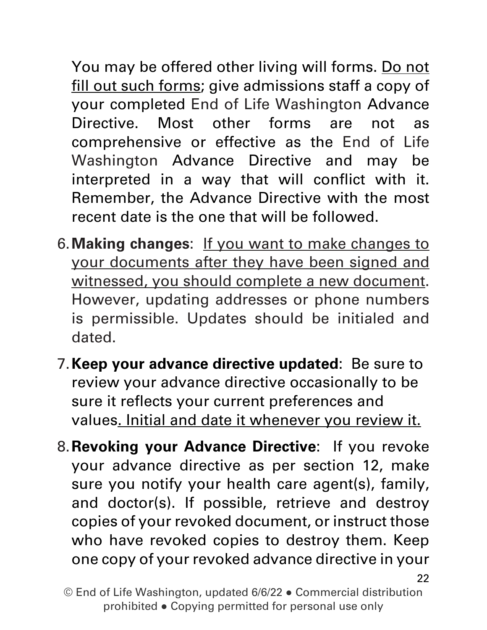You may be offered other living will forms. Do not fill out such forms; give admissions staff a copy of your completed End of Life Washington Advance Directive. Most other forms are not as comprehensive or effective as the End of Life Washington Advance Directive and may be interpreted in a way that will conflict with it. Remember, the Advance Directive with the most recent date is the one that will be followed.

- 6.**Making changes**: If you want to make changes to your documents after they have been signed and witnessed, you should complete a new document. However, updating addresses or phone numbers is permissible. Updates should be initialed and dated.
- 7.**Keep your advance directive updated**: Be sure to review your advance directive occasionally to be sure it reflects your current preferences and values. Initial and date it whenever you review it.
- 8.**Revoking your Advance Directive**: If you revoke your advance directive as per section 12, make sure you notify your health care agent(s), family, and doctor(s). If possible, retrieve and destroy copies of your revoked document, or instruct those who have revoked copies to destroy them. Keep one copy of your revoked advance directive in your

© End of Life Washington, updated 6/6/22 ● Commercial distribution prohibited ● Copying permitted for personal use only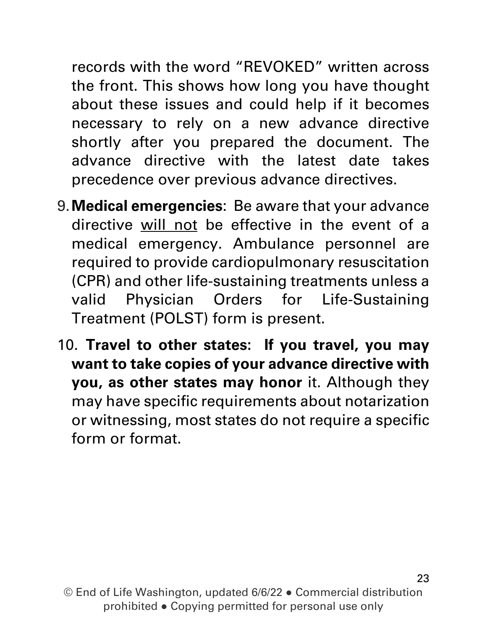records with the word "REVOKED" written across the front. This shows how long you have thought about these issues and could help if it becomes necessary to rely on a new advance directive shortly after you prepared the document. The advance directive with the latest date takes precedence over previous advance directives.

- 9.**Medical emergencies**: Be aware that your advance directive will not be effective in the event of a medical emergency. Ambulance personnel are required to provide cardiopulmonary resuscitation (CPR) and other life-sustaining treatments unless a valid Physician Orders for Life-Sustaining Treatment (POLST) form is present.
- 10. **Travel to other states: If you travel, you may want to take copies of your advance directive with you, as other states may honor** it. Although they may have specific requirements about notarization or witnessing, most states do not require a specific form or format.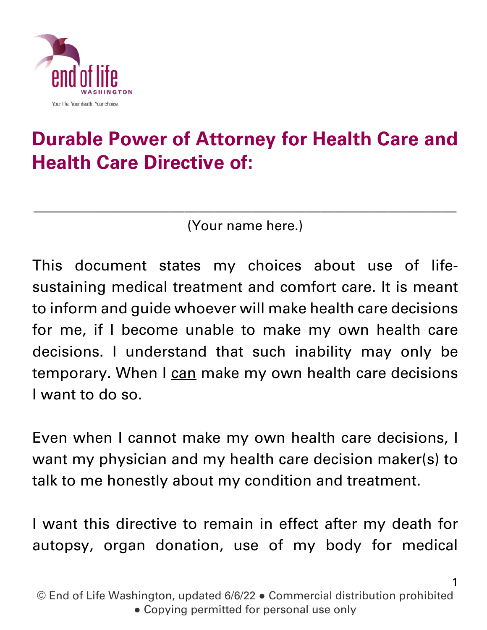

## **Durable Power of Attorney for Health Care and Health Care Directive of:**

(Your name here.)

\_\_\_\_\_\_\_\_\_\_\_\_\_\_\_\_\_\_\_\_\_\_\_\_\_\_\_\_\_\_\_\_\_\_\_\_\_\_\_\_\_\_\_\_\_\_\_\_\_\_\_\_\_\_\_\_

This document states my choices about use of lifesustaining medical treatment and comfort care. It is meant to inform and guide whoever will make health care decisions for me, if I become unable to make my own health care decisions. I understand that such inability may only be temporary. When I can make my own health care decisions I want to do so.

Even when I cannot make my own health care decisions, I want my physician and my health care decision maker(s) to talk to me honestly about my condition and treatment.

I want this directive to remain in effect after my death for autopsy, organ donation, use of my body for medical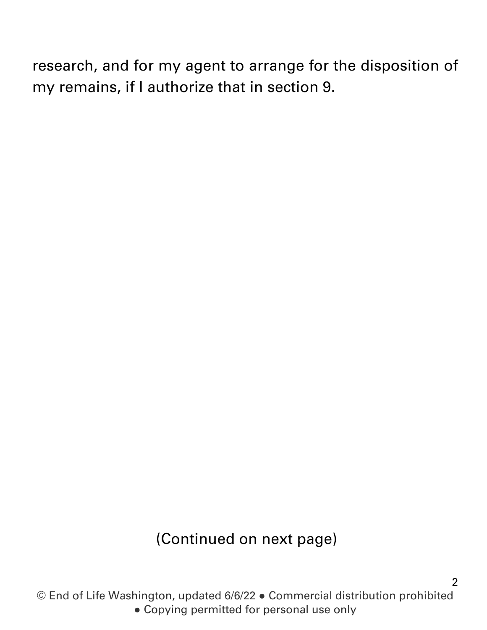research, and for my agent to arrange for the disposition of my remains, if I authorize that in section 9.

#### (Continued on next page)

© End of Life Washington, updated 6/6/22 ● Commercial distribution prohibited ● Copying permitted for personal use only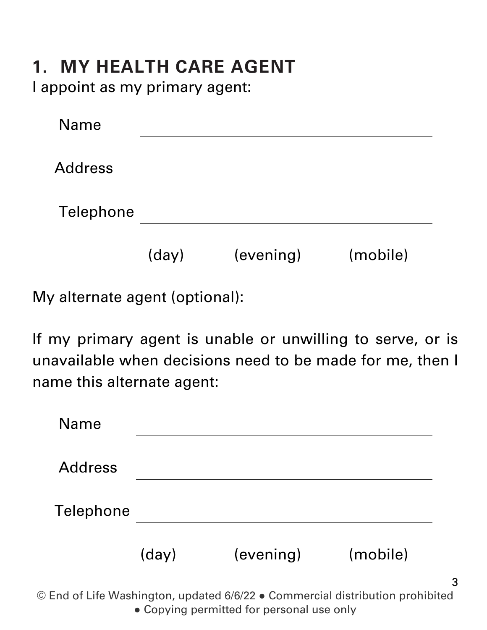#### **1. MY HEALTH CARE AGENT**

I appoint as my primary agent:

| <b>Name</b>    |       |           |          |
|----------------|-------|-----------|----------|
| <b>Address</b> |       |           |          |
| Telephone      |       |           |          |
|                | (day) | (evening) | (mobile) |

My alternate agent (optional):

If my primary agent is unable or unwilling to serve, or is unavailable when decisions need to be made for me, then I name this alternate agent:

| <b>Name</b>    |       |           |          |
|----------------|-------|-----------|----------|
| <b>Address</b> |       |           |          |
| Telephone      |       |           |          |
|                | (day) | (evening) | (mobile) |

© End of Life Washington, updated 6/6/22 ● Commercial distribution prohibited • Copying permitted for personal use only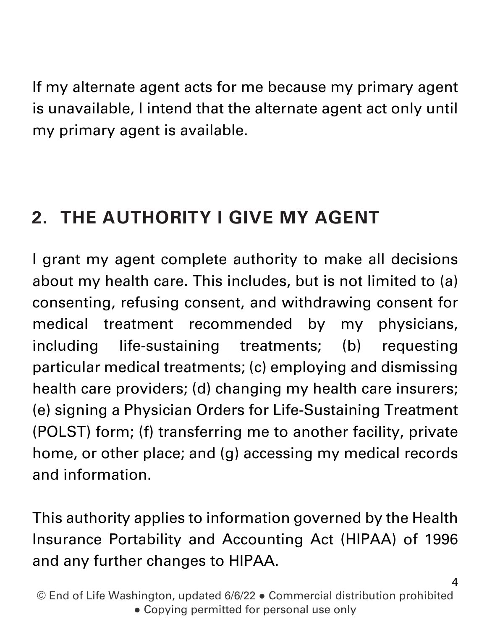If my alternate agent acts for me because my primary agent is unavailable, I intend that the alternate agent act only until my primary agent is available.

## **2. THE AUTHORITY I GIVE MY AGENT**

I grant my agent complete authority to make all decisions about my health care. This includes, but is not limited to (a) consenting, refusing consent, and withdrawing consent for medical treatment recommended by my physicians, including life-sustaining treatments; (b) requesting particular medical treatments; (c) employing and dismissing health care providers; (d) changing my health care insurers; (e) signing a Physician Orders for Life-Sustaining Treatment (POLST) form; (f) transferring me to another facility, private home, or other place; and (g) accessing my medical records and information.

This authority applies to information governed by the Health Insurance Portability and Accounting Act (HIPAA) of 1996 and any further changes to HIPAA.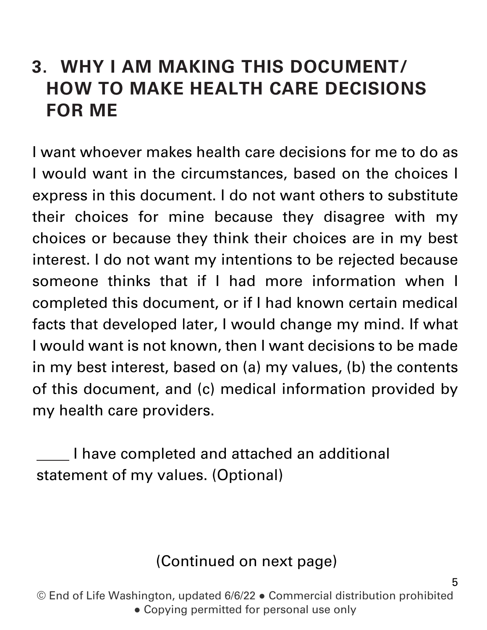### **3. WHY I AM MAKING THIS DOCUMENT/ HOW TO MAKE HEALTH CARE DECISIONS FOR ME**

I want whoever makes health care decisions for me to do as I would want in the circumstances, based on the choices I express in this document. I do not want others to substitute their choices for mine because they disagree with my choices or because they think their choices are in my best interest. I do not want my intentions to be rejected because someone thinks that if I had more information when I completed this document, or if I had known certain medical facts that developed later, I would change my mind. If what I would want is not known, then I want decisions to be made in my best interest, based on (a) my values, (b) the contents of this document, and (c) medical information provided by my health care providers.

I have completed and attached an additional statement of my values. (Optional)

#### (Continued on next page)

5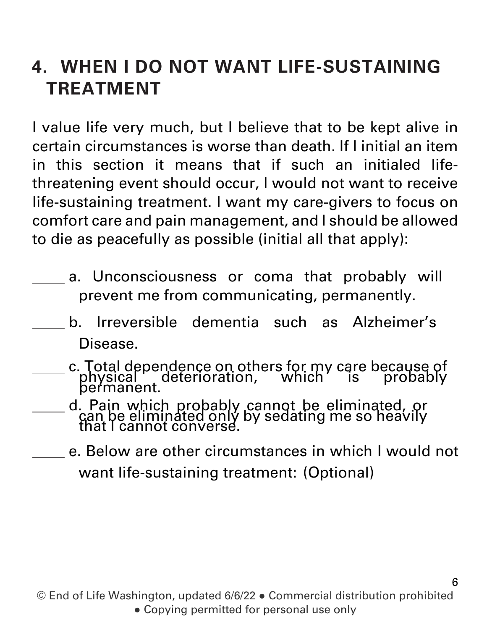### **4. WHEN I DO NOT WANT LIFE-SUSTAINING TREATMENT**

I value life very much, but I believe that to be kept alive in certain circumstances is worse than death. If I initial an item in this section it means that if such an initialed lifethreatening event should occur, I would not want to receive life-sustaining treatment. I want my care-givers to focus on comfort care and pain management, and I should be allowed to die as peacefully as possible (initial all that apply):

- a. Unconsciousness or coma that probably will prevent me from communicating, permanently.
	- b. Irreversible dementia such as Alzheimer's Disease.
- c. Total dependence on others for my care because of physical deterioration, which is probably permanent.
- d. Pain which probably cannot be eliminated, or can be eliminated only by sedating me so heavily<br>that I cannot converse.
	- e. Below are other circumstances in which I would not want life-sustaining treatment: (Optional)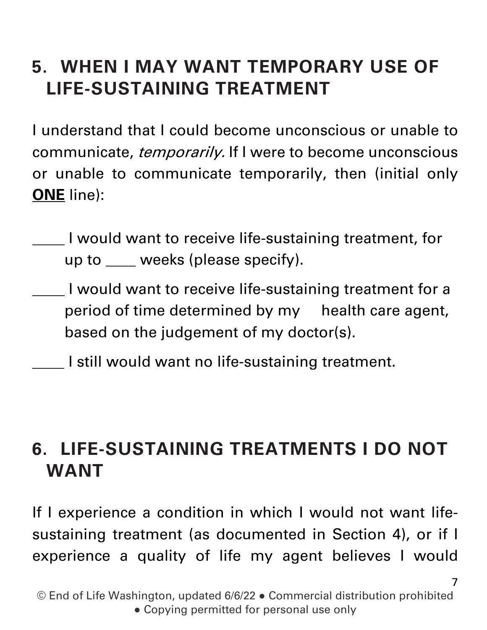## **5. WHEN I MAY WANT TEMPORARY USE OF LIFE-SUSTAINING TREATMENT**

I understand that I could become unconscious or unable to communicate, *temporarily.* If I were to become unconscious or unable to communicate temporarily, then (initial only **ONE** line):

- I would want to receive life-sustaining treatment, for up to \_\_\_\_ weeks (please specify).
- I would want to receive life-sustaining treatment for a period of time determined by my health care agent, based on the judgement of my doctor(s).
- I still would want no life-sustaining treatment.

#### **6. LIFE-SUSTAINING TREATMENTS I DO NOT WANT**

If I experience a condition in which I would not want lifesustaining treatment (as documented in Section 4), or if I experience a quality of life my agent believes I would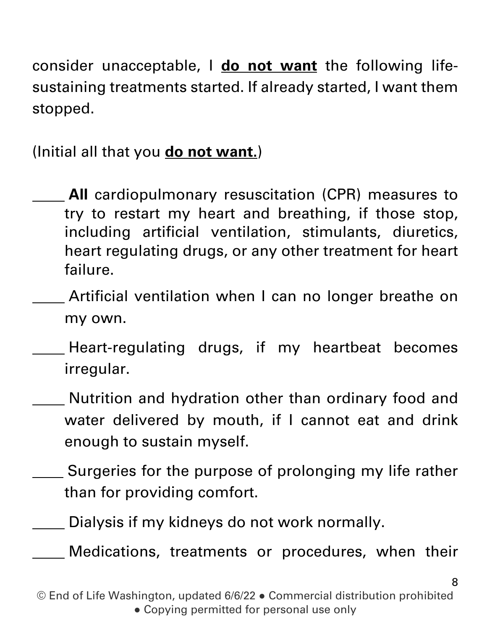consider unacceptable, I **do not want** the following lifesustaining treatments started. If already started, I want them stopped.

(Initial all that you **do not want.**)

**All** cardiopulmonary resuscitation (CPR) measures to try to restart my heart and breathing, if those stop, including artificial ventilation, stimulants, diuretics, heart regulating drugs, or any other treatment for heart failure.

Artificial ventilation when I can no longer breathe on my own.

- Heart-regulating drugs, if my heartbeat becomes irregular.
- Nutrition and hydration other than ordinary food and water delivered by mouth, if I cannot eat and drink enough to sustain myself.
- Surgeries for the purpose of prolonging my life rather than for providing comfort.

Dialysis if my kidneys do not work normally.

Medications, treatments or procedures, when their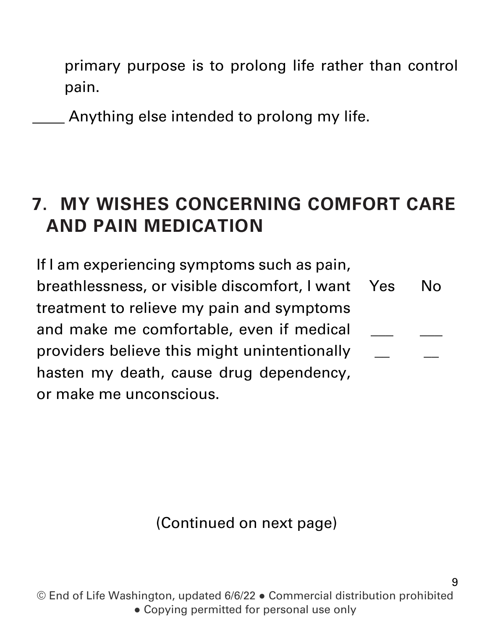primary purpose is to prolong life rather than control pain.

Anything else intended to prolong my life.

#### **7. MY WISHES CONCERNING COMFORT CARE AND PAIN MEDICATION**

If I am experiencing symptoms such as pain, breathlessness, or visible discomfort, I want treatment to relieve my pain and symptoms and make me comfortable, even if medical providers believe this might unintentionally hasten my death, cause drug dependency, or make me unconscious. Yes  $\overline{\phantom{a}}$  $\overline{\phantom{a}}$ No  $\overline{\phantom{a}}$  $\overline{\phantom{a}}$ 

(Continued on next page)

© End of Life Washington, updated 6/6/22 ● Commercial distribution prohibited • Copying permitted for personal use only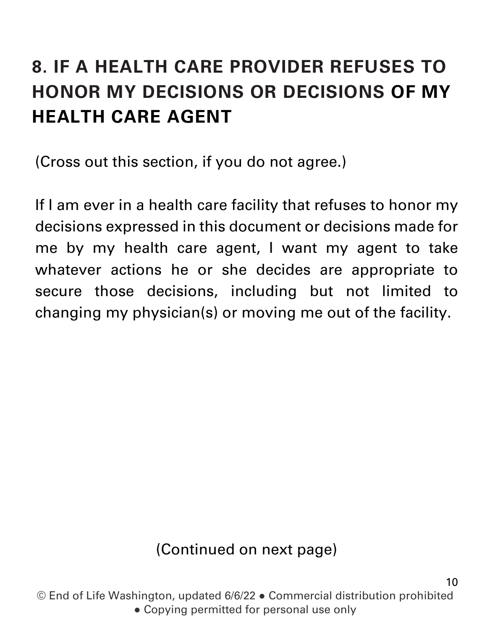## **8. IF A HEALTH CARE PROVIDER REFUSES TO HONOR MY DECISIONS OR DECISIONS OF MY HEALTH CARE AGENT**

(Cross out this section, if you do not agree.)

If I am ever in a health care facility that refuses to honor my decisions expressed in this document or decisions made for me by my health care agent, I want my agent to take whatever actions he or she decides are appropriate to secure those decisions, including but not limited to changing my physician(s) or moving me out of the facility.

#### (Continued on next page)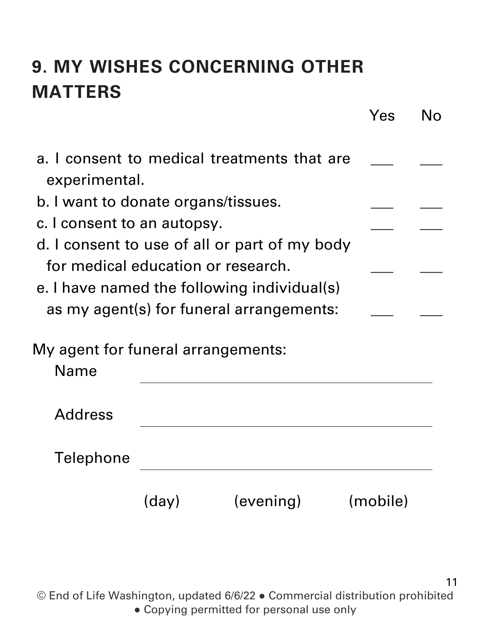## **9. MY WISHES CONCERNING OTHER MATTERS**

|                                                   |       |                                             | Yes      | No |
|---------------------------------------------------|-------|---------------------------------------------|----------|----|
| experimental.                                     |       | a. I consent to medical treatments that are |          |    |
| b. I want to donate organs/tissues.               |       |                                             |          |    |
| c. I consent to an autopsy.                       |       |                                             |          |    |
| d. I consent to use of all or part of my body     |       |                                             |          |    |
| for medical education or research.                |       |                                             |          |    |
| e. I have named the following individual(s)       |       |                                             |          |    |
| as my agent(s) for funeral arrangements:          |       |                                             |          |    |
| My agent for funeral arrangements:<br><b>Name</b> |       |                                             |          |    |
| <b>Address</b>                                    |       |                                             |          |    |
| Telephone                                         |       |                                             |          |    |
|                                                   | (day) | (evening)                                   | (mobile) |    |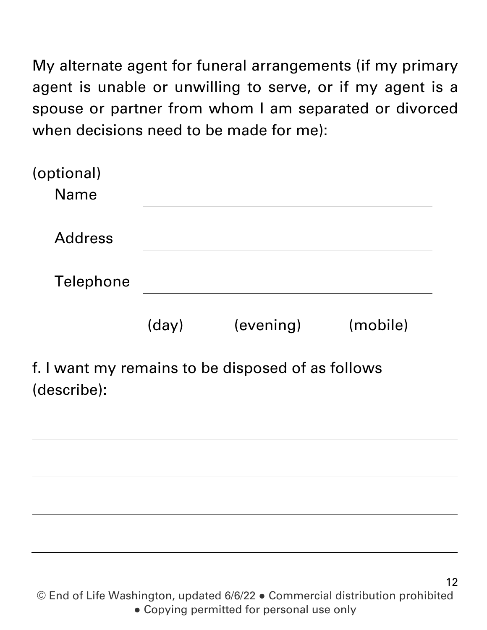My alternate agent for funeral arrangements (if my primary agent is unable or unwilling to serve, or if my agent is a spouse or partner from whom I am separated or divorced when decisions need to be made for me):

| (optional)<br><b>Name</b>                                       |       |                                                                                                                                                                                                                                |          |
|-----------------------------------------------------------------|-------|--------------------------------------------------------------------------------------------------------------------------------------------------------------------------------------------------------------------------------|----------|
| <b>Address</b>                                                  |       |                                                                                                                                                                                                                                |          |
| Telephone                                                       |       |                                                                                                                                                                                                                                |          |
|                                                                 | (day) | (evening)                                                                                                                                                                                                                      | (mobile) |
| $\mathbf{r}$ and $\mathbf{r}$ and $\mathbf{r}$ and $\mathbf{r}$ |       | the control between the control of the Control Control of the Control of the Control of the Control of the Control of the Control of the Control of the Control of the Control of the Control of the Control of the Control of |          |

f. I want my remains to be disposed of as follows (describe):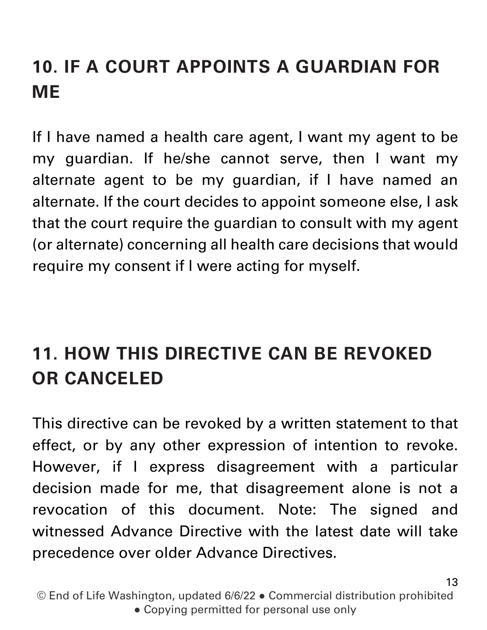## **10. IF A COURT APPOINTS A GUARDIAN FOR ME**

If I have named a health care agent, I want my agent to be my guardian. If he/she cannot serve, then I want my alternate agent to be my guardian, if I have named an alternate. If the court decides to appoint someone else, I ask that the court require the guardian to consult with my agent (or alternate) concerning all health care decisions that would require my consent if I were acting for myself.

## **11. HOW THIS DIRECTIVE CAN BE REVOKED OR CANCELED**

This directive can be revoked by a written statement to that effect, or by any other expression of intention to revoke. However, if I express disagreement with a particular decision made for me, that disagreement alone is not a revocation of this document. Note: The signed and witnessed Advance Directive with the latest date will take precedence over older Advance Directives.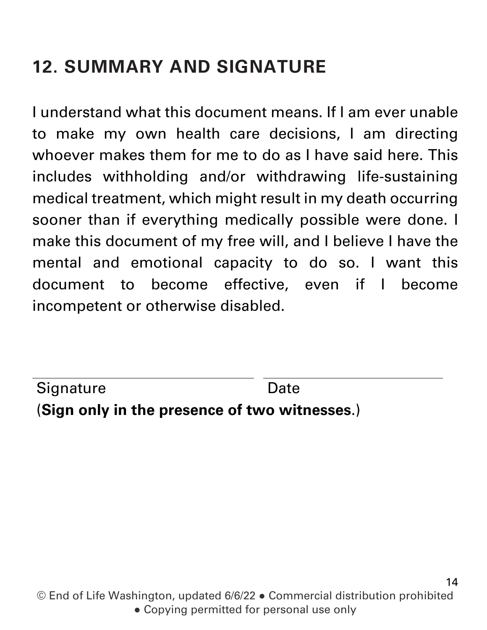## **12. SUMMARY AND SIGNATURE**

I understand what this document means. If I am ever unable to make my own health care decisions, I am directing whoever makes them for me to do as I have said here. This includes withholding and/or withdrawing life-sustaining medical treatment, which might result in my death occurring sooner than if everything medically possible were done. I make this document of my free will, and I believe I have the mental and emotional capacity to do so. I want this document to become effective, even if I become incompetent or otherwise disabled.

(**Sign only in the presence of two witnesses**.) Signature Date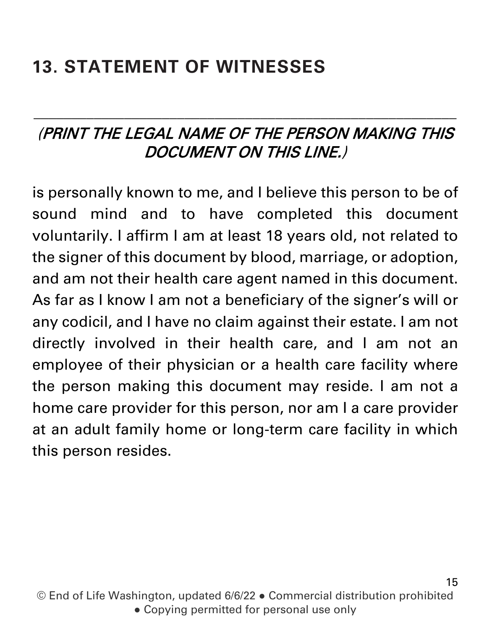## **13. STATEMENT OF WITNESSES**

#### (PRINT THE LEGAL NAME OF THE PERSON MAKING THIS DOCUMENT ON THIS LINE.)

\_\_\_\_\_\_\_\_\_\_\_\_\_\_\_\_\_\_\_\_\_\_\_\_\_\_\_\_\_\_\_\_\_\_\_\_\_\_\_\_\_\_\_\_\_\_\_\_\_\_\_\_\_\_\_\_

is personally known to me, and I believe this person to be of sound mind and to have completed this document voluntarily. I affirm I am at least 18 years old, not related to the signer of this document by blood, marriage, or adoption, and am not their health care agent named in this document. As far as I know I am not a beneficiary of the signer's will or any codicil, and I have no claim against their estate. I am not directly involved in their health care, and I am not an employee of their physician or a health care facility where the person making this document may reside. I am not a home care provider for this person, nor am I a care provider at an adult family home or long-term care facility in which this person resides.